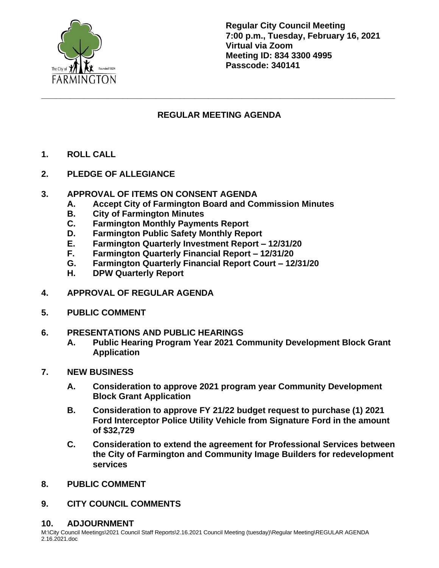

**Regular City Council Meeting 7:00 p.m., Tuesday, February 16, 2021 Virtual via Zoom Meeting ID: 834 3300 4995 Passcode: 340141**

## **REGULAR MEETING AGENDA**

**\_\_\_\_\_\_\_\_\_\_\_\_\_\_\_\_\_\_\_\_\_\_\_\_\_\_\_\_\_\_\_\_\_\_\_\_\_\_\_\_\_\_\_\_\_\_\_\_\_\_\_\_\_\_\_\_\_\_\_\_\_\_\_\_\_\_\_\_\_\_\_\_\_\_**

- **1. ROLL CALL**
- **2. PLEDGE OF ALLEGIANCE**
- **3. APPROVAL OF ITEMS ON CONSENT AGENDA**
	- **A. Accept City of Farmington Board and Commission Minutes**
	- **B. City of Farmington Minutes**
	- **C. Farmington Monthly Payments Report**
	- **D. Farmington Public Safety Monthly Report**
	- **E. Farmington Quarterly Investment Report – 12/31/20**
	- **F. Farmington Quarterly Financial Report – 12/31/20**
	- **G. Farmington Quarterly Financial Report Court – 12/31/20**
	- **H. DPW Quarterly Report**
- **4. APPROVAL OF REGULAR AGENDA**
- **5. PUBLIC COMMENT**
- **6. PRESENTATIONS AND PUBLIC HEARINGS**
	- **A. Public Hearing Program Year 2021 Community Development Block Grant Application**
- **7. NEW BUSINESS**
	- **A. Consideration to approve 2021 program year Community Development Block Grant Application**
	- **B. Consideration to approve FY 21/22 budget request to purchase (1) 2021 Ford Interceptor Police Utility Vehicle from Signature Ford in the amount of \$32,729**
	- **C. Consideration to extend the agreement for Professional Services between the City of Farmington and Community Image Builders for redevelopment services**
- **8. PUBLIC COMMENT**
- **9. CITY COUNCIL COMMENTS**

## **10. ADJOURNMENT**